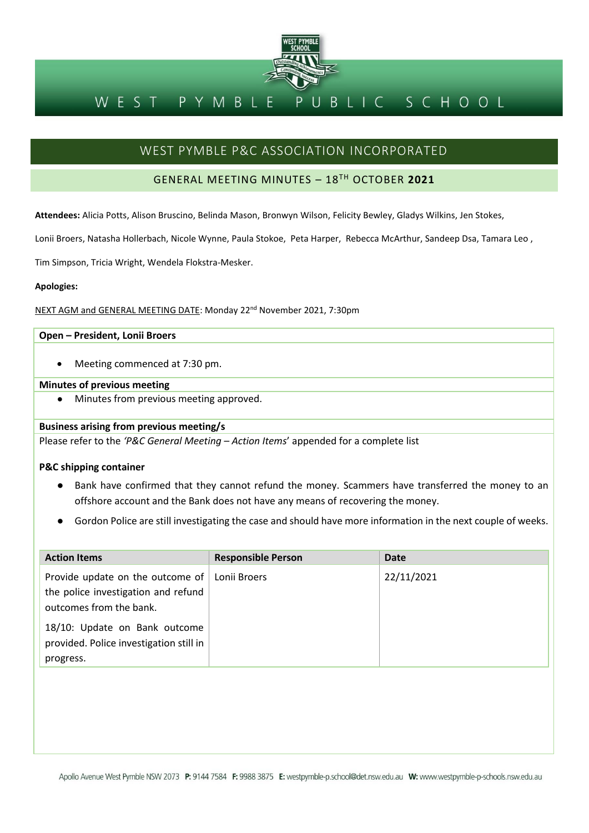

#### BLIC SCHOOL PYMBLE WEST

### WEST PYMBLE P&C ASSOCIATION INCORPORATED

#### GENERAL MEETING MINUTES – 18TH OCTOBER **2021**

**Attendees:** Alicia Potts, Alison Bruscino, Belinda Mason, Bronwyn Wilson, Felicity Bewley, Gladys Wilkins, Jen Stokes,

Lonii Broers, Natasha Hollerbach, Nicole Wynne, Paula Stokoe, Peta Harper, Rebecca McArthur, Sandeep Dsa, Tamara Leo ,

Tim Simpson, Tricia Wright, Wendela Flokstra-Mesker.

#### **Apologies:**

NEXT AGM and GENERAL MEETING DATE: Monday 22<sup>nd</sup> November 2021, 7:30pm

#### **Open – President, Lonii Broers**

• Meeting commenced at 7:30 pm.

#### **Minutes of previous meeting**

Minutes from previous meeting approved.

#### **Business arising from previous meeting/s**

Please refer to the *'P&C General Meeting – Action Items*' appended for a complete list

#### **P&C shipping container**

- Bank have confirmed that they cannot refund the money. Scammers have transferred the money to an offshore account and the Bank does not have any means of recovering the money.
- Gordon Police are still investigating the case and should have more information in the next couple of weeks.

| <b>Action Items</b>                                                                                | <b>Responsible Person</b> | Date       |
|----------------------------------------------------------------------------------------------------|---------------------------|------------|
| Provide update on the outcome of<br>the police investigation and refund<br>outcomes from the bank. | Lonii Broers              | 22/11/2021 |
| 18/10: Update on Bank outcome<br>provided. Police investigation still in<br>progress.              |                           |            |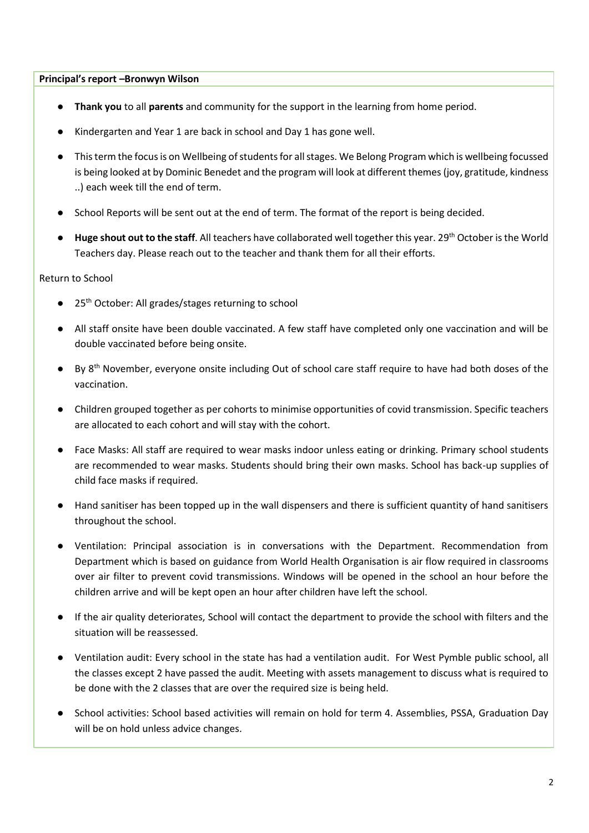#### **Principal's report –Bronwyn Wilson**

- **Thank you** to all **parents** and community for the support in the learning from home period.
- Kindergarten and Year 1 are back in school and Day 1 has gone well.
- This term the focus is on Wellbeing of students for all stages. We Belong Program which is wellbeing focussed is being looked at by Dominic Benedet and the program will look at different themes(joy, gratitude, kindness ..) each week till the end of term.
- School Reports will be sent out at the end of term. The format of the report is being decided.
- **Huge shout out to the staff**. All teachers have collaborated well together this year. 29th October is the World Teachers day. Please reach out to the teacher and thank them for all their efforts.

#### Return to School

- 25<sup>th</sup> October: All grades/stages returning to school
- All staff onsite have been double vaccinated. A few staff have completed only one vaccination and will be double vaccinated before being onsite.
- $\bullet$  By 8<sup>th</sup> November, everyone onsite including Out of school care staff require to have had both doses of the vaccination.
- Children grouped together as per cohorts to minimise opportunities of covid transmission. Specific teachers are allocated to each cohort and will stay with the cohort.
- Face Masks: All staff are required to wear masks indoor unless eating or drinking. Primary school students are recommended to wear masks. Students should bring their own masks. School has back-up supplies of child face masks if required.
- Hand sanitiser has been topped up in the wall dispensers and there is sufficient quantity of hand sanitisers throughout the school.
- Ventilation: Principal association is in conversations with the Department. Recommendation from Department which is based on guidance from World Health Organisation is air flow required in classrooms over air filter to prevent covid transmissions. Windows will be opened in the school an hour before the children arrive and will be kept open an hour after children have left the school.
- If the air quality deteriorates, School will contact the department to provide the school with filters and the situation will be reassessed.
- Ventilation audit: Every school in the state has had a ventilation audit. For West Pymble public school, all the classes except 2 have passed the audit. Meeting with assets management to discuss what is required to be done with the 2 classes that are over the required size is being held.
- School activities: School based activities will remain on hold for term 4. Assemblies, PSSA, Graduation Day will be on hold unless advice changes.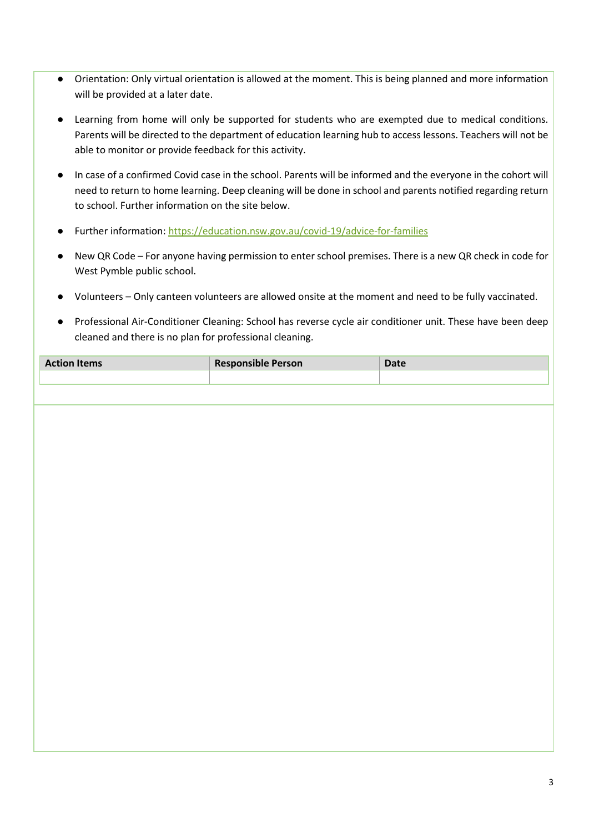- Orientation: Only virtual orientation is allowed at the moment. This is being planned and more information will be provided at a later date.
- Learning from home will only be supported for students who are exempted due to medical conditions. Parents will be directed to the department of education learning hub to access lessons. Teachers will not be able to monitor or provide feedback for this activity.
- In case of a confirmed Covid case in the school. Parents will be informed and the everyone in the cohort will need to return to home learning. Deep cleaning will be done in school and parents notified regarding return to school. Further information on the site below.
- Further information:<https://education.nsw.gov.au/covid-19/advice-for-families>
- New QR Code For anyone having permission to enter school premises. There is a new QR check in code for West Pymble public school.
- Volunteers Only canteen volunteers are allowed onsite at the moment and need to be fully vaccinated.
- Professional Air-Conditioner Cleaning: School has reverse cycle air conditioner unit. These have been deep cleaned and there is no plan for professional cleaning.

| <b>Action Items</b> | <b>Responsible Person</b> |  |
|---------------------|---------------------------|--|
|                     |                           |  |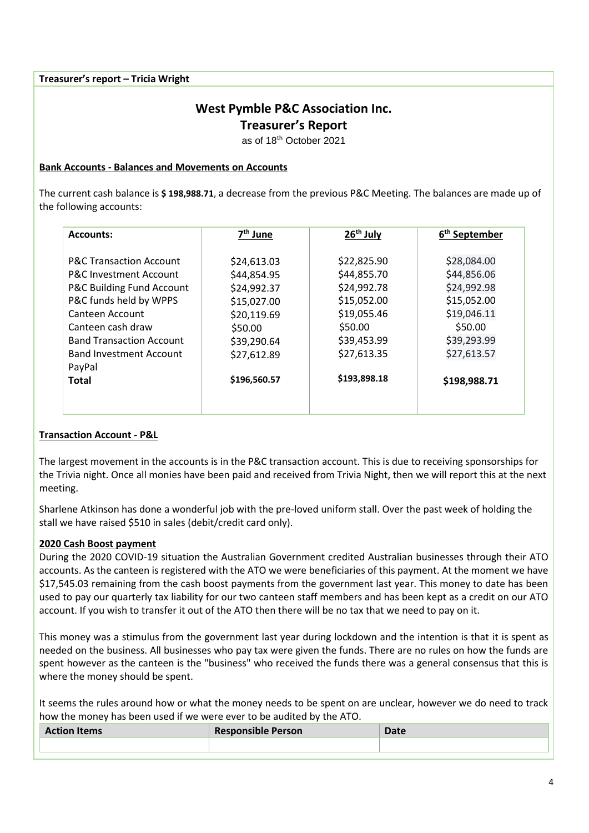**Treasurer's report – Tricia Wright**

## **West Pymble P&C Association Inc.**

**Treasurer's Report**

as of 18th October 2021

#### **Bank Accounts - Balances and Movements on Accounts**

The current cash balance is **\$ 198,988.71**, a decrease from the previous P&C Meeting. The balances are made up of the following accounts:

| <b>Accounts:</b>                     | 7 <sup>th</sup> June | 26 <sup>th</sup> July | 6 <sup>th</sup> September |
|--------------------------------------|----------------------|-----------------------|---------------------------|
|                                      |                      |                       |                           |
| <b>P&amp;C Transaction Account</b>   | \$24,613.03          | \$22,825.90           | \$28,084.00               |
| <b>P&amp;C Investment Account</b>    | \$44,854.95          | \$44,855.70           | \$44,856.06               |
| <b>P&amp;C Building Fund Account</b> | \$24,992.37          | \$24,992.78           | \$24,992.98               |
| P&C funds held by WPPS               | \$15,027.00          | \$15,052.00           | \$15,052.00               |
| Canteen Account                      | \$20,119.69          | \$19,055.46           | \$19,046.11               |
| Canteen cash draw                    | \$50.00              | \$50.00               | \$50.00                   |
| <b>Band Transaction Account</b>      | \$39,290.64          | \$39,453.99           | \$39,293.99               |
| <b>Band Investment Account</b>       | \$27,612.89          | \$27,613.35           | \$27,613.57               |
| PayPal                               |                      |                       |                           |
| <b>Total</b>                         | \$196,560.57         | \$193,898.18          | \$198,988.71              |
|                                      |                      |                       |                           |
|                                      |                      |                       |                           |

#### **Transaction Account - P&L**

The largest movement in the accounts is in the P&C transaction account. This is due to receiving sponsorships for the Trivia night. Once all monies have been paid and received from Trivia Night, then we will report this at the next meeting.

Sharlene Atkinson has done a wonderful job with the pre-loved uniform stall. Over the past week of holding the stall we have raised \$510 in sales (debit/credit card only).

#### **2020 Cash Boost payment**

During the 2020 COVID-19 situation the Australian Government credited Australian businesses through their ATO accounts. As the canteen is registered with the ATO we were beneficiaries of this payment. At the moment we have \$17,545.03 remaining from the cash boost payments from the government last year. This money to date has been used to pay our quarterly tax liability for our two canteen staff members and has been kept as a credit on our ATO account. If you wish to transfer it out of the ATO then there will be no tax that we need to pay on it.

This money was a stimulus from the government last year during lockdown and the intention is that it is spent as needed on the business. All businesses who pay tax were given the funds. There are no rules on how the funds are spent however as the canteen is the "business" who received the funds there was a general consensus that this is where the money should be spent.

It seems the rules around how or what the money needs to be spent on are unclear, however we do need to track how the money has been used if we were ever to be audited by the ATO.

| <b>Action Items</b> | <b>Responsible Person</b> | Date |
|---------------------|---------------------------|------|
|                     |                           |      |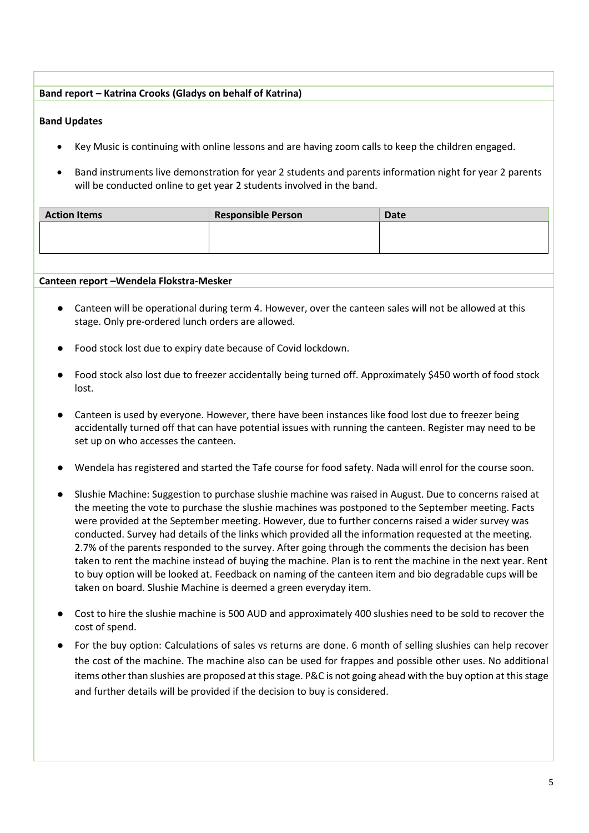#### **Band report – Katrina Crooks (Gladys on behalf of Katrina)**

#### **Band Updates**

- Key Music is continuing with online lessons and are having zoom calls to keep the children engaged.
- Band instruments live demonstration for year 2 students and parents information night for year 2 parents will be conducted online to get year 2 students involved in the band.

| <b>Responsible Person</b> | Date |
|---------------------------|------|
|                           |      |
|                           |      |
|                           |      |

#### **Canteen report –Wendela Flokstra-Mesker**

- Canteen will be operational during term 4. However, over the canteen sales will not be allowed at this stage. Only pre-ordered lunch orders are allowed.
- Food stock lost due to expiry date because of Covid lockdown.
- Food stock also lost due to freezer accidentally being turned off. Approximately \$450 worth of food stock lost.
- Canteen is used by everyone. However, there have been instances like food lost due to freezer being accidentally turned off that can have potential issues with running the canteen. Register may need to be set up on who accesses the canteen.
- Wendela has registered and started the Tafe course for food safety. Nada will enrol for the course soon.
- Slushie Machine: Suggestion to purchase slushie machine was raised in August. Due to concerns raised at the meeting the vote to purchase the slushie machines was postponed to the September meeting. Facts were provided at the September meeting. However, due to further concerns raised a wider survey was conducted. Survey had details of the links which provided all the information requested at the meeting. 2.7% of the parents responded to the survey. After going through the comments the decision has been taken to rent the machine instead of buying the machine. Plan is to rent the machine in the next year. Rent to buy option will be looked at. Feedback on naming of the canteen item and bio degradable cups will be taken on board. Slushie Machine is deemed a green everyday item.
- Cost to hire the slushie machine is 500 AUD and approximately 400 slushies need to be sold to recover the cost of spend.
- For the buy option: Calculations of sales vs returns are done. 6 month of selling slushies can help recover the cost of the machine. The machine also can be used for frappes and possible other uses. No additional items other than slushies are proposed at this stage. P&C is not going ahead with the buy option at this stage and further details will be provided if the decision to buy is considered.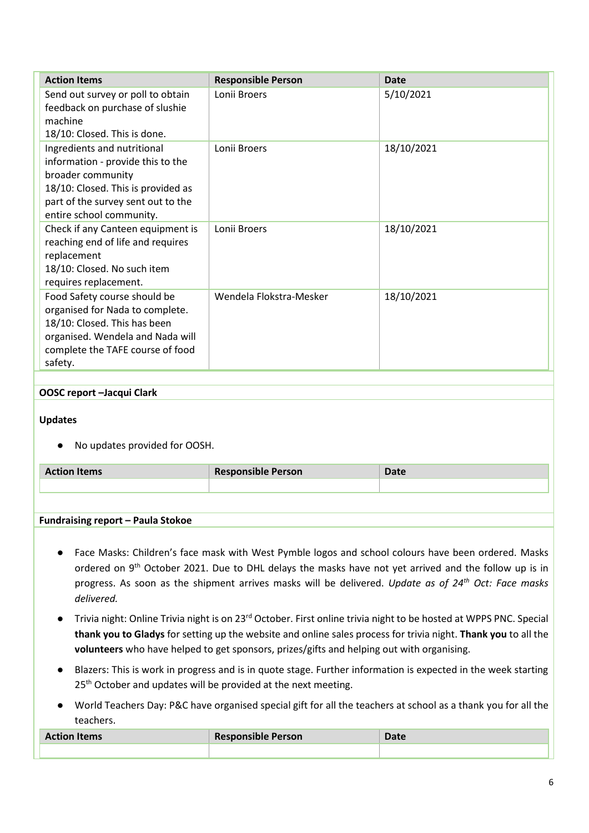| <b>Action Items</b>                                                                                                                                                                           | <b>Responsible Person</b> | Date       |
|-----------------------------------------------------------------------------------------------------------------------------------------------------------------------------------------------|---------------------------|------------|
| Send out survey or poll to obtain<br>feedback on purchase of slushie<br>machine<br>18/10: Closed. This is done.                                                                               | Lonii Broers              | 5/10/2021  |
| Ingredients and nutritional<br>information - provide this to the<br>broader community<br>18/10: Closed. This is provided as<br>part of the survey sent out to the<br>entire school community. | Lonii Broers              | 18/10/2021 |
| Check if any Canteen equipment is<br>reaching end of life and requires<br>replacement<br>18/10: Closed. No such item<br>requires replacement.                                                 | Lonii Broers              | 18/10/2021 |
| Food Safety course should be<br>organised for Nada to complete.<br>18/10: Closed. This has been<br>organised. Wendela and Nada will<br>complete the TAFE course of food<br>safety.            | Wendela Flokstra-Mesker   | 18/10/2021 |

#### **OOSC report –Jacqui Clark**

#### **Updates**

● No updates provided for OOSH.

| <b>Action Items</b> | <b>Responsible Person</b> | Date |
|---------------------|---------------------------|------|
|                     |                           |      |
|                     |                           |      |

#### **Fundraising report – Paula Stokoe**

- Face Masks: Children's face mask with West Pymble logos and school colours have been ordered. Masks ordered on 9<sup>th</sup> October 2021. Due to DHL delays the masks have not yet arrived and the follow up is in progress. As soon as the shipment arrives masks will be delivered. *Update as of 24th Oct: Face masks delivered.*
- Trivia night: Online Trivia night is on 23<sup>rd</sup> October. First online trivia night to be hosted at WPPS PNC. Special **thank you to Gladys** for setting up the website and online sales process for trivia night. **Thank you** to all the **volunteers** who have helped to get sponsors, prizes/gifts and helping out with organising.
- Blazers: This is work in progress and is in quote stage. Further information is expected in the week starting 25<sup>th</sup> October and updates will be provided at the next meeting.
- World Teachers Day: P&C have organised special gift for all the teachers at school as a thank you for all the teachers.

| <b>Action Items</b> | <b>Responsible Person</b> | Date |
|---------------------|---------------------------|------|
|                     |                           |      |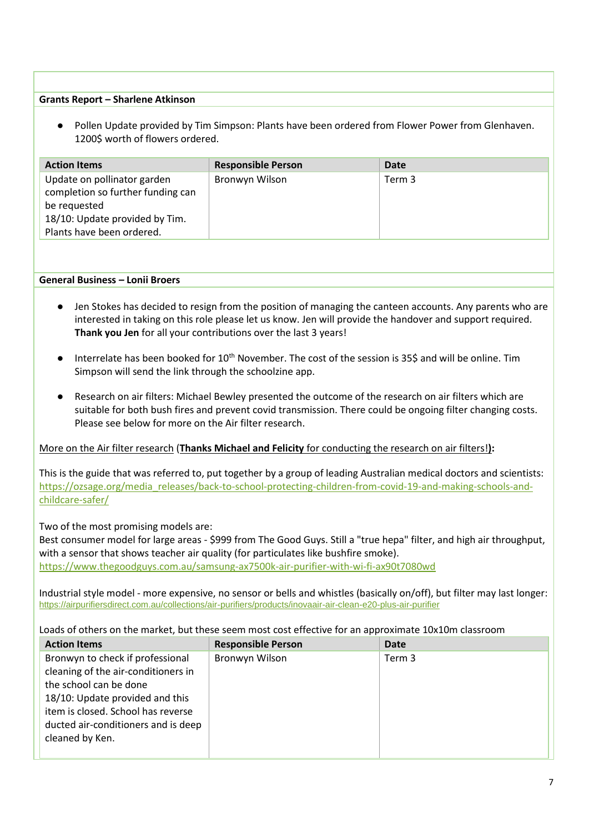#### **Grants Report – Sharlene Atkinson**

● Pollen Update provided by Tim Simpson: Plants have been ordered from Flower Power from Glenhaven. 1200\$ worth of flowers ordered.

| <b>Action Items</b>                                                                                                                             | <b>Responsible Person</b> | Date   |
|-------------------------------------------------------------------------------------------------------------------------------------------------|---------------------------|--------|
| Update on pollinator garden<br>completion so further funding can<br>be requested<br>18/10: Update provided by Tim.<br>Plants have been ordered. | Bronwyn Wilson            | Term 3 |

#### **General Business – Lonii Broers**

- Jen Stokes has decided to resign from the position of managing the canteen accounts. Any parents who are interested in taking on this role please let us know. Jen will provide the handover and support required. **Thank you Jen** for all your contributions over the last 3 years!
- Interrelate has been booked for 10<sup>th</sup> November. The cost of the session is 35\$ and will be online. Tim Simpson will send the link through the schoolzine app.
- Research on air filters: Michael Bewley presented the outcome of the research on air filters which are suitable for both bush fires and prevent covid transmission. There could be ongoing filter changing costs. Please see below for more on the Air filter research.

#### More on the Air filter research (**Thanks Michael and Felicity** for conducting the research on air filters!**):**

This is the guide that was referred to, put together by a group of leading Australian medical doctors and scientists: [https://ozsage.org/media\\_releases/back-to-school-protecting-children-from-covid-19-and-making-schools-and](https://ozsage.org/media_releases/back-to-school-protecting-children-from-covid-19-and-making-schools-and-childcare-safer/)[childcare-safer/](https://ozsage.org/media_releases/back-to-school-protecting-children-from-covid-19-and-making-schools-and-childcare-safer/)

#### Two of the most promising models are:

Best consumer model for large areas - \$999 from The Good Guys. Still a "true hepa" filter, and high air throughput, with a sensor that shows teacher air quality (for particulates like bushfire smoke). <https://www.thegoodguys.com.au/samsung-ax7500k-air-purifier-with-wi-fi-ax90t7080wd>

Industrial style model - more expensive, no sensor or bells and whistles (basically on/off), but filter may last longer: <https://airpurifiersdirect.com.au/collections/air-purifiers/products/inovaair-air-clean-e20-plus-air-purifier>

#### Loads of others on the market, but these seem most cost effective for an approximate 10x10m classroom

| <b>Action Items</b>                                                                                                                                                                                                                  | <b>Responsible Person</b> | Date   |
|--------------------------------------------------------------------------------------------------------------------------------------------------------------------------------------------------------------------------------------|---------------------------|--------|
| Bronwyn to check if professional<br>cleaning of the air-conditioners in<br>the school can be done<br>18/10: Update provided and this<br>item is closed. School has reverse<br>ducted air-conditioners and is deep<br>cleaned by Ken. | Bronwyn Wilson            | Term 3 |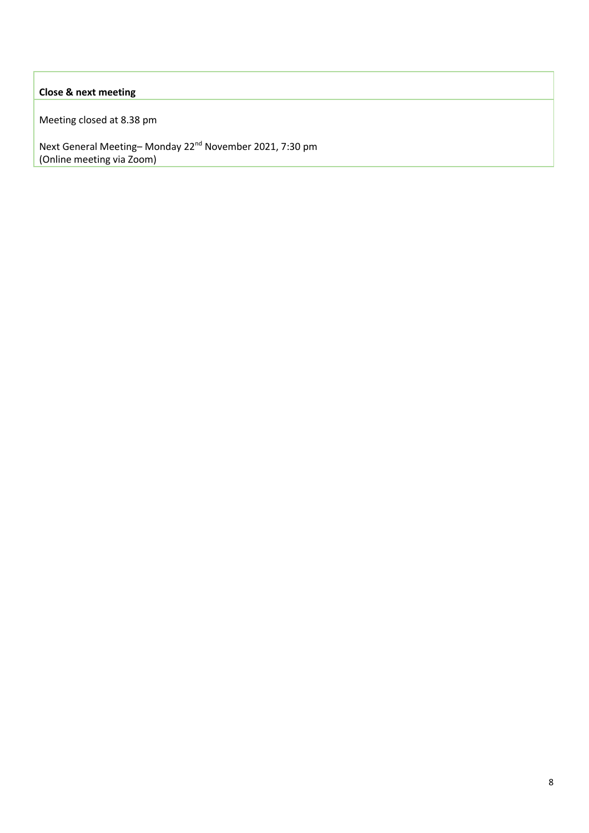#### **Close & next meeting**

Meeting closed at 8.38 pm

Next General Meeting– Monday 22nd November 2021, 7:30 pm (Online meeting via Zoom)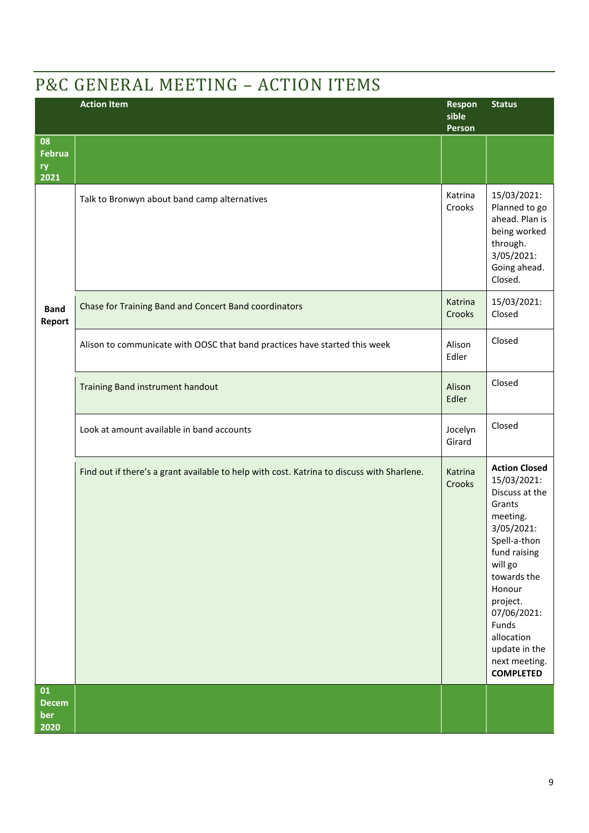# P&C GENERAL MEETING – ACTION ITEMS

|                                   | <b>Action Item</b>                                                                         | Respon<br>sible<br>Person | <b>Status</b>                                                                                                                                                                                                                                                         |
|-----------------------------------|--------------------------------------------------------------------------------------------|---------------------------|-----------------------------------------------------------------------------------------------------------------------------------------------------------------------------------------------------------------------------------------------------------------------|
| 08<br><b>Februa</b><br>ry<br>2021 |                                                                                            |                           |                                                                                                                                                                                                                                                                       |
|                                   | Talk to Bronwyn about band camp alternatives                                               | Katrina<br>Crooks         | 15/03/2021:<br>Planned to go<br>ahead. Plan is<br>being worked<br>through.<br>3/05/2021:<br>Going ahead.<br>Closed.                                                                                                                                                   |
| <b>Band</b><br>Report             | Chase for Training Band and Concert Band coordinators                                      | Katrina<br>Crooks         | 15/03/2021:<br>Closed                                                                                                                                                                                                                                                 |
|                                   | Alison to communicate with OOSC that band practices have started this week                 | Alison<br>Edler           | Closed                                                                                                                                                                                                                                                                |
|                                   | Training Band instrument handout                                                           | Alison<br>Edler           | Closed                                                                                                                                                                                                                                                                |
|                                   | Look at amount available in band accounts                                                  | Jocelyn<br>Girard         | Closed                                                                                                                                                                                                                                                                |
|                                   | Find out if there's a grant available to help with cost. Katrina to discuss with Sharlene. | Katrina<br>Crooks         | <b>Action Closed</b><br>15/03/2021:<br>Discuss at the<br>Grants<br>meeting.<br>3/05/2021:<br>Spell-a-thon<br>fund raising<br>will go<br>towards the<br>Honour<br>project.<br>07/06/2021:<br>Funds<br>allocation<br>update in the<br>next meeting.<br><b>COMPLETED</b> |
| 01<br><b>Decem</b><br>ber<br>2020 |                                                                                            |                           |                                                                                                                                                                                                                                                                       |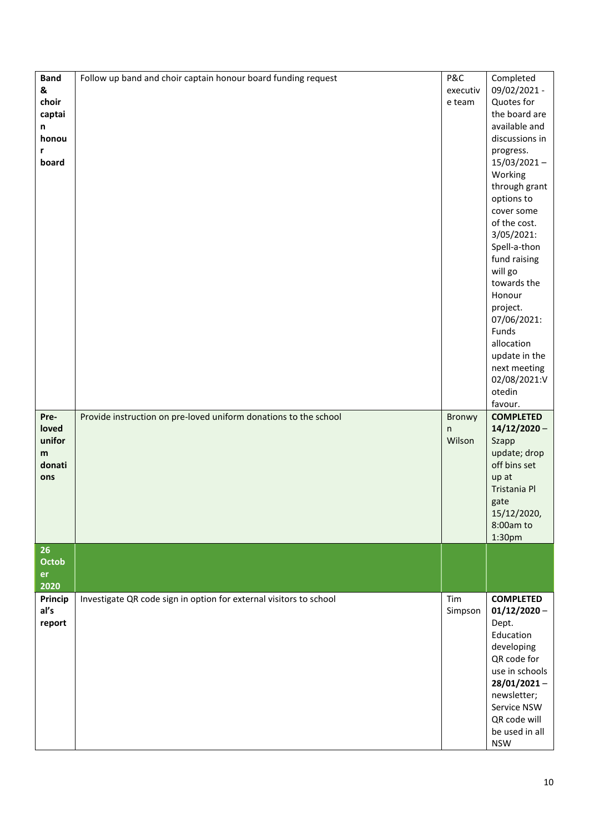| <b>Band</b><br>&<br>choir<br>captai<br>n<br>honou<br>r<br>board | Follow up band and choir captain honour board funding request      | P&C<br>executiv<br>e team | Completed<br>09/02/2021 -<br>Quotes for<br>the board are<br>available and<br>discussions in<br>progress.<br>$15/03/2021 -$<br>Working<br>through grant<br>options to<br>cover some<br>of the cost.<br>3/05/2021:<br>Spell-a-thon<br>fund raising<br>will go<br>towards the<br>Honour<br>project.<br>07/06/2021:<br>Funds<br>allocation<br>update in the<br>next meeting<br>02/08/2021:V<br>otedin<br>favour. |
|-----------------------------------------------------------------|--------------------------------------------------------------------|---------------------------|--------------------------------------------------------------------------------------------------------------------------------------------------------------------------------------------------------------------------------------------------------------------------------------------------------------------------------------------------------------------------------------------------------------|
| Pre-<br>loved<br>unifor<br>m<br>donati<br>ons                   | Provide instruction on pre-loved uniform donations to the school   | Bronwy<br>n<br>Wilson     | <b>COMPLETED</b><br>$14/12/2020 -$<br>Szapp<br>update; drop<br>off bins set<br>up at<br>Tristania Pl<br>gate<br>15/12/2020,<br>8:00am to<br>1:30pm                                                                                                                                                                                                                                                           |
| 26<br>Octob<br>er<br>2020                                       |                                                                    |                           |                                                                                                                                                                                                                                                                                                                                                                                                              |
| Princip<br>al's<br>report                                       | Investigate QR code sign in option for external visitors to school | Tim<br>Simpson            | <b>COMPLETED</b><br>$01/12/2020 -$<br>Dept.<br>Education<br>developing<br>QR code for<br>use in schools<br>$28/01/2021 -$<br>newsletter;<br>Service NSW<br>QR code will<br>be used in all<br><b>NSW</b>                                                                                                                                                                                                      |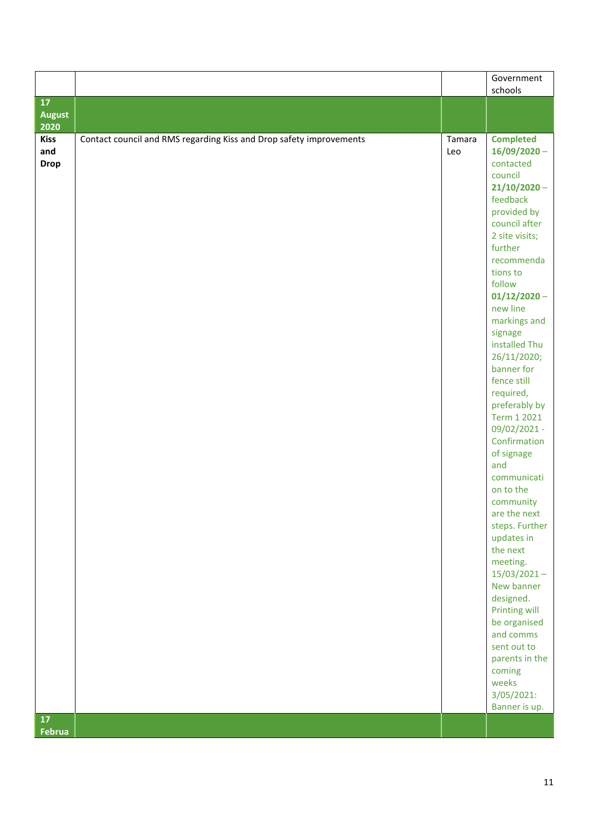|                     |                                                                     |        | Government<br>schools          |
|---------------------|---------------------------------------------------------------------|--------|--------------------------------|
| 17                  |                                                                     |        |                                |
| <b>August</b>       |                                                                     |        |                                |
| 2020<br><b>Kiss</b> | Contact council and RMS regarding Kiss and Drop safety improvements | Tamara | <b>Completed</b>               |
| and                 |                                                                     | Leo    | $16/09/2020 -$                 |
| <b>Drop</b>         |                                                                     |        | contacted                      |
|                     |                                                                     |        | council                        |
|                     |                                                                     |        | $21/10/2020 -$<br>feedback     |
|                     |                                                                     |        | provided by                    |
|                     |                                                                     |        | council after                  |
|                     |                                                                     |        | 2 site visits;                 |
|                     |                                                                     |        | further                        |
|                     |                                                                     |        | recommenda                     |
|                     |                                                                     |        | tions to<br>follow             |
|                     |                                                                     |        | $01/12/2020 -$                 |
|                     |                                                                     |        | new line                       |
|                     |                                                                     |        | markings and                   |
|                     |                                                                     |        | signage                        |
|                     |                                                                     |        | installed Thu                  |
|                     |                                                                     |        | 26/11/2020;<br>banner for      |
|                     |                                                                     |        | fence still                    |
|                     |                                                                     |        | required,                      |
|                     |                                                                     |        | preferably by                  |
|                     |                                                                     |        | Term 1 2021                    |
|                     |                                                                     |        | 09/02/2021 -                   |
|                     |                                                                     |        | Confirmation<br>of signage     |
|                     |                                                                     |        | and                            |
|                     |                                                                     |        | communicati                    |
|                     |                                                                     |        | on to the                      |
|                     |                                                                     |        | community                      |
|                     |                                                                     |        | are the next<br>steps. Further |
|                     |                                                                     |        | updates in                     |
|                     |                                                                     |        | the next                       |
|                     |                                                                     |        | meeting.                       |
|                     |                                                                     |        | $15/03/2021 -$                 |
|                     |                                                                     |        | New banner                     |
|                     |                                                                     |        | designed.<br>Printing will     |
|                     |                                                                     |        | be organised                   |
|                     |                                                                     |        | and comms                      |
|                     |                                                                     |        | sent out to                    |
|                     |                                                                     |        | parents in the                 |
|                     |                                                                     |        | coming                         |
|                     |                                                                     |        | weeks<br>3/05/2021:            |
|                     |                                                                     |        | Banner is up.                  |
| 17                  |                                                                     |        |                                |
| Februa              |                                                                     |        |                                |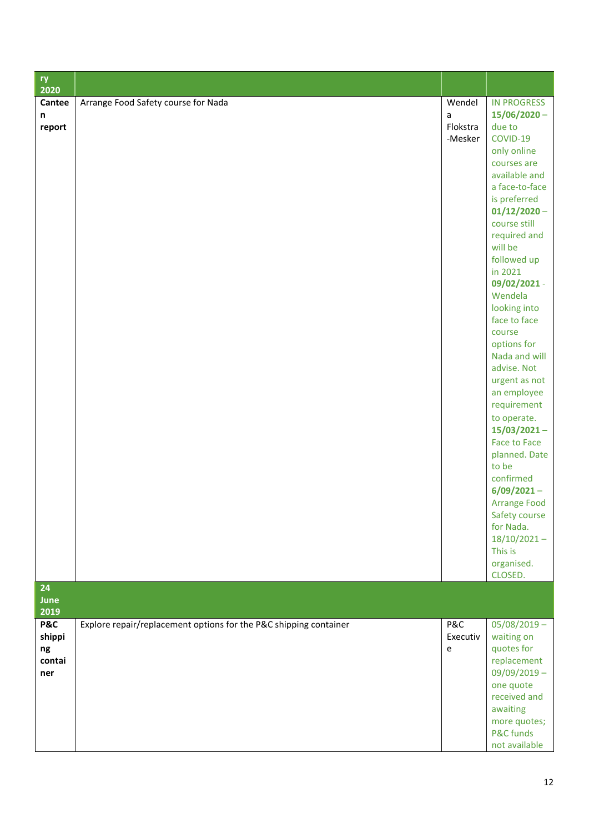| ry<br>2020                                      |                                                                   |                                    |                                                                                                                                                                                                                                                                                                                                                                                                                                                                                                                                                                                                                                  |
|-------------------------------------------------|-------------------------------------------------------------------|------------------------------------|----------------------------------------------------------------------------------------------------------------------------------------------------------------------------------------------------------------------------------------------------------------------------------------------------------------------------------------------------------------------------------------------------------------------------------------------------------------------------------------------------------------------------------------------------------------------------------------------------------------------------------|
| Cantee<br>n<br>report                           | Arrange Food Safety course for Nada                               | Wendel<br>a<br>Flokstra<br>-Mesker | <b>IN PROGRESS</b><br>$15/06/2020 -$<br>due to<br>COVID-19<br>only online<br>courses are<br>available and<br>a face-to-face<br>is preferred<br>$01/12/2020 -$<br>course still<br>required and<br>will be<br>followed up<br>in 2021<br>09/02/2021 -<br>Wendela<br>looking into<br>face to face<br>course<br>options for<br>Nada and will<br>advise. Not<br>urgent as not<br>an employee<br>requirement<br>to operate.<br>$15/03/2021 -$<br><b>Face to Face</b><br>planned. Date<br>to be<br>confirmed<br>$6/09/2021 -$<br><b>Arrange Food</b><br>Safety course<br>for Nada.<br>$18/10/2021 -$<br>This is<br>organised.<br>CLOSED. |
| 24<br>June<br>2019                              |                                                                   |                                    |                                                                                                                                                                                                                                                                                                                                                                                                                                                                                                                                                                                                                                  |
| <b>P&amp;C</b><br>shippi<br>ng<br>contai<br>ner | Explore repair/replacement options for the P&C shipping container | P&C<br>Executiv<br>e               | $05/08/2019 -$<br>waiting on<br>quotes for<br>replacement<br>$09/09/2019 -$<br>one quote<br>received and<br>awaiting<br>more quotes;<br>P&C funds<br>not available                                                                                                                                                                                                                                                                                                                                                                                                                                                               |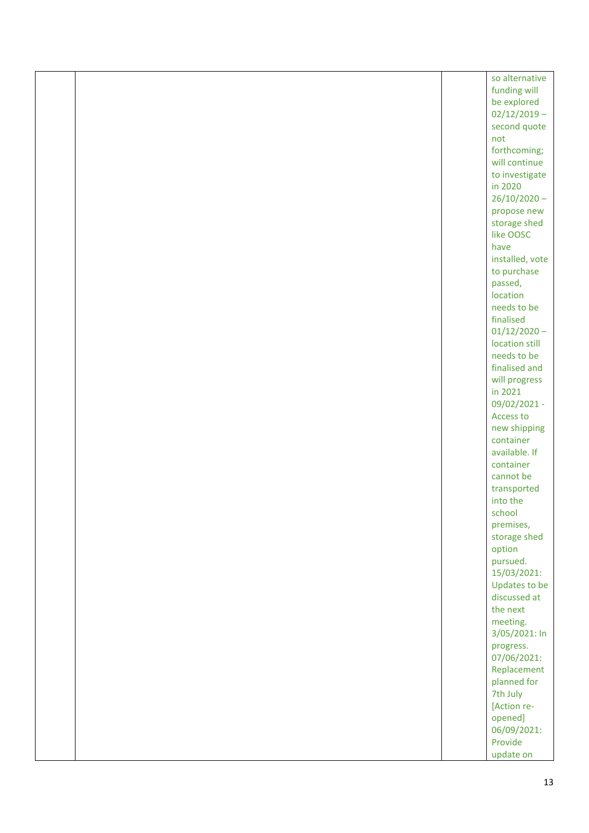|  | so alternative                   |
|--|----------------------------------|
|  | funding will                     |
|  | be explored                      |
|  | $02/12/2019 -$                   |
|  | second quote                     |
|  | not                              |
|  | forthcoming;                     |
|  | will continue                    |
|  | to investigate                   |
|  | in 2020                          |
|  | $26/10/2020 -$                   |
|  | propose new                      |
|  | storage shed                     |
|  | like OOSC                        |
|  | have                             |
|  | installed, vote                  |
|  | to purchase                      |
|  | passed,                          |
|  | location                         |
|  | needs to be<br>finalised         |
|  |                                  |
|  | $01/12/2020 -$<br>location still |
|  | needs to be                      |
|  | finalised and                    |
|  | will progress                    |
|  | in 2021                          |
|  | 09/02/2021 -                     |
|  | Access to                        |
|  | new shipping                     |
|  | container                        |
|  | available. If                    |
|  | container                        |
|  | cannot be                        |
|  | transported                      |
|  | into the                         |
|  | school                           |
|  | premises,                        |
|  | storage shed                     |
|  | option                           |
|  | pursued.                         |
|  | 15/03/2021:                      |
|  | Updates to be                    |
|  | discussed at                     |
|  | the next                         |
|  | meeting.                         |
|  | 3/05/2021: In                    |
|  | progress.                        |
|  | 07/06/2021:                      |
|  | Replacement                      |
|  | planned for                      |
|  | 7th July                         |
|  | [Action re-                      |
|  | opened]<br>06/09/2021:           |
|  | Provide                          |
|  | update on                        |
|  |                                  |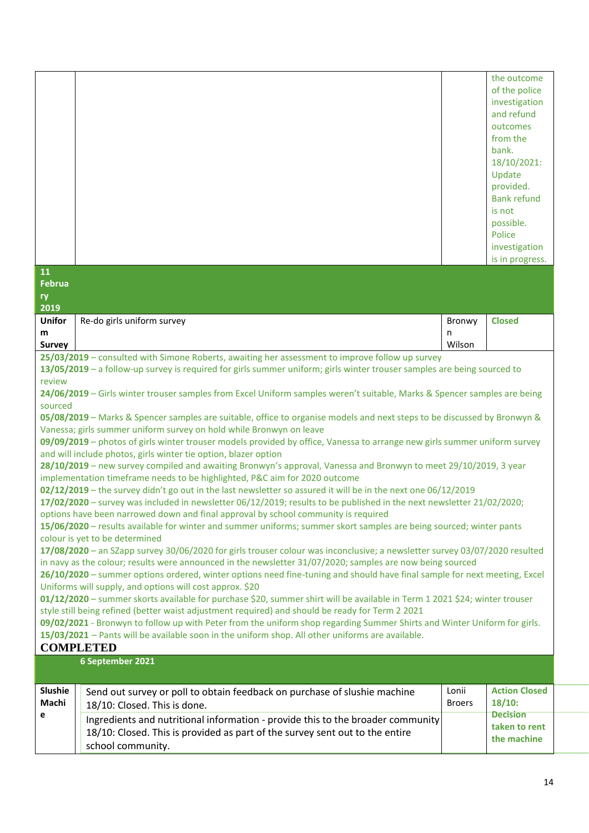| 11<br><b>Februa</b> |                                                                                                                                                                                                                                                                                                                                                                                                                                                                                                                                                                                                                                                                                                                                                                                                                                                                                                                                                                                                                                                                                                                                                                                                                                                                                                                                                                                                                                                                                                                                                                                                                                                                                                                                                                  |        | the outcome<br>of the police<br>investigation<br>and refund<br>outcomes<br>from the<br>bank.<br>18/10/2021:<br>Update<br>provided.<br><b>Bank refund</b><br>is not<br>possible.<br>Police<br>investigation<br>is in progress. |
|---------------------|------------------------------------------------------------------------------------------------------------------------------------------------------------------------------------------------------------------------------------------------------------------------------------------------------------------------------------------------------------------------------------------------------------------------------------------------------------------------------------------------------------------------------------------------------------------------------------------------------------------------------------------------------------------------------------------------------------------------------------------------------------------------------------------------------------------------------------------------------------------------------------------------------------------------------------------------------------------------------------------------------------------------------------------------------------------------------------------------------------------------------------------------------------------------------------------------------------------------------------------------------------------------------------------------------------------------------------------------------------------------------------------------------------------------------------------------------------------------------------------------------------------------------------------------------------------------------------------------------------------------------------------------------------------------------------------------------------------------------------------------------------------|--------|-------------------------------------------------------------------------------------------------------------------------------------------------------------------------------------------------------------------------------|
| ry<br>2019          |                                                                                                                                                                                                                                                                                                                                                                                                                                                                                                                                                                                                                                                                                                                                                                                                                                                                                                                                                                                                                                                                                                                                                                                                                                                                                                                                                                                                                                                                                                                                                                                                                                                                                                                                                                  |        |                                                                                                                                                                                                                               |
| <b>Unifor</b>       | Re-do girls uniform survey                                                                                                                                                                                                                                                                                                                                                                                                                                                                                                                                                                                                                                                                                                                                                                                                                                                                                                                                                                                                                                                                                                                                                                                                                                                                                                                                                                                                                                                                                                                                                                                                                                                                                                                                       | Bronwy | <b>Closed</b>                                                                                                                                                                                                                 |
| m                   |                                                                                                                                                                                                                                                                                                                                                                                                                                                                                                                                                                                                                                                                                                                                                                                                                                                                                                                                                                                                                                                                                                                                                                                                                                                                                                                                                                                                                                                                                                                                                                                                                                                                                                                                                                  | n      |                                                                                                                                                                                                                               |
| <b>Survey</b>       | 25/03/2019 - consulted with Simone Roberts, awaiting her assessment to improve follow up survey                                                                                                                                                                                                                                                                                                                                                                                                                                                                                                                                                                                                                                                                                                                                                                                                                                                                                                                                                                                                                                                                                                                                                                                                                                                                                                                                                                                                                                                                                                                                                                                                                                                                  | Wilson |                                                                                                                                                                                                                               |
|                     | 13/05/2019 - a follow-up survey is required for girls summer uniform; girls winter trouser samples are being sourced to                                                                                                                                                                                                                                                                                                                                                                                                                                                                                                                                                                                                                                                                                                                                                                                                                                                                                                                                                                                                                                                                                                                                                                                                                                                                                                                                                                                                                                                                                                                                                                                                                                          |        |                                                                                                                                                                                                                               |
| review              |                                                                                                                                                                                                                                                                                                                                                                                                                                                                                                                                                                                                                                                                                                                                                                                                                                                                                                                                                                                                                                                                                                                                                                                                                                                                                                                                                                                                                                                                                                                                                                                                                                                                                                                                                                  |        |                                                                                                                                                                                                                               |
|                     | 24/06/2019 - Girls winter trouser samples from Excel Uniform samples weren't suitable, Marks & Spencer samples are being                                                                                                                                                                                                                                                                                                                                                                                                                                                                                                                                                                                                                                                                                                                                                                                                                                                                                                                                                                                                                                                                                                                                                                                                                                                                                                                                                                                                                                                                                                                                                                                                                                         |        |                                                                                                                                                                                                                               |
|                     | 05/08/2019 - Marks & Spencer samples are suitable, office to organise models and next steps to be discussed by Bronwyn &<br>Vanessa; girls summer uniform survey on hold while Bronwyn on leave<br>09/09/2019 - photos of girls winter trouser models provided by office, Vanessa to arrange new girls summer uniform survey<br>and will include photos, girls winter tie option, blazer option<br>28/10/2019 - new survey compiled and awaiting Bronwyn's approval, Vanessa and Bronwyn to meet 29/10/2019, 3 year<br>implementation timeframe needs to be highlighted, P&C aim for 2020 outcome<br>02/12/2019 - the survey didn't go out in the last newsletter so assured it will be in the next one 06/12/2019<br>17/02/2020 - survey was included in newsletter 06/12/2019; results to be published in the next newsletter 21/02/2020;<br>options have been narrowed down and final approval by school community is required<br>15/06/2020 - results available for winter and summer uniforms; summer skort samples are being sourced; winter pants<br>colour is yet to be determined<br>17/08/2020 - an SZapp survey 30/06/2020 for girls trouser colour was inconclusive; a newsletter survey 03/07/2020 resulted<br>in navy as the colour; results were announced in the newsletter 31/07/2020; samples are now being sourced<br>26/10/2020 - summer options ordered, winter options need fine-tuning and should have final sample for next meeting, Excel<br>Uniforms will supply, and options will cost approx. \$20<br>01/12/2020 - summer skorts available for purchase \$20, summer shirt will be available in Term 1 2021 \$24; winter trouser<br>style still being refined (better waist adjustment required) and should be ready for Term 2 2021 |        |                                                                                                                                                                                                                               |
|                     | 09/02/2021 - Bronwyn to follow up with Peter from the uniform shop regarding Summer Shirts and Winter Uniform for girls.<br>15/03/2021 - Pants will be available soon in the uniform shop. All other uniforms are available.<br><b>COMPLETED</b>                                                                                                                                                                                                                                                                                                                                                                                                                                                                                                                                                                                                                                                                                                                                                                                                                                                                                                                                                                                                                                                                                                                                                                                                                                                                                                                                                                                                                                                                                                                 |        |                                                                                                                                                                                                                               |
|                     | 6 September 2021                                                                                                                                                                                                                                                                                                                                                                                                                                                                                                                                                                                                                                                                                                                                                                                                                                                                                                                                                                                                                                                                                                                                                                                                                                                                                                                                                                                                                                                                                                                                                                                                                                                                                                                                                 |        |                                                                                                                                                                                                                               |